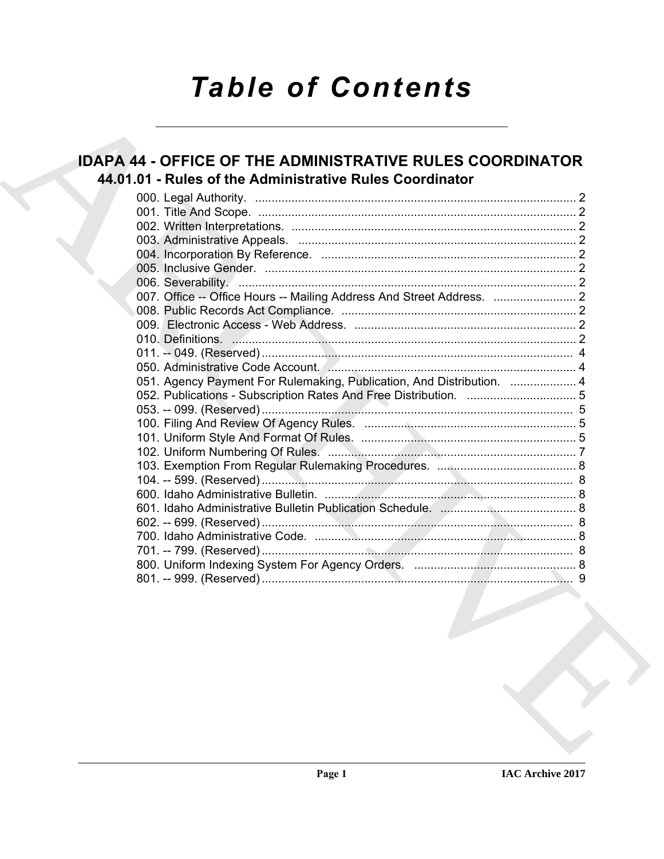# **Table of Contents**

## **IDAPA 44 - OFFICE OF THE ADMINISTRATIVE RULES COORDINATOR** 44.01.01 - Rules of the Administrative Rules Coordinator

| 051. Agency Payment For Rulemaking, Publication, And Distribution.  4                                           |  |
|-----------------------------------------------------------------------------------------------------------------|--|
|                                                                                                                 |  |
|                                                                                                                 |  |
|                                                                                                                 |  |
|                                                                                                                 |  |
|                                                                                                                 |  |
|                                                                                                                 |  |
|                                                                                                                 |  |
|                                                                                                                 |  |
|                                                                                                                 |  |
|                                                                                                                 |  |
|                                                                                                                 |  |
|                                                                                                                 |  |
|                                                                                                                 |  |
| the contract of the contract of the contract of the contract of the contract of the contract of the contract of |  |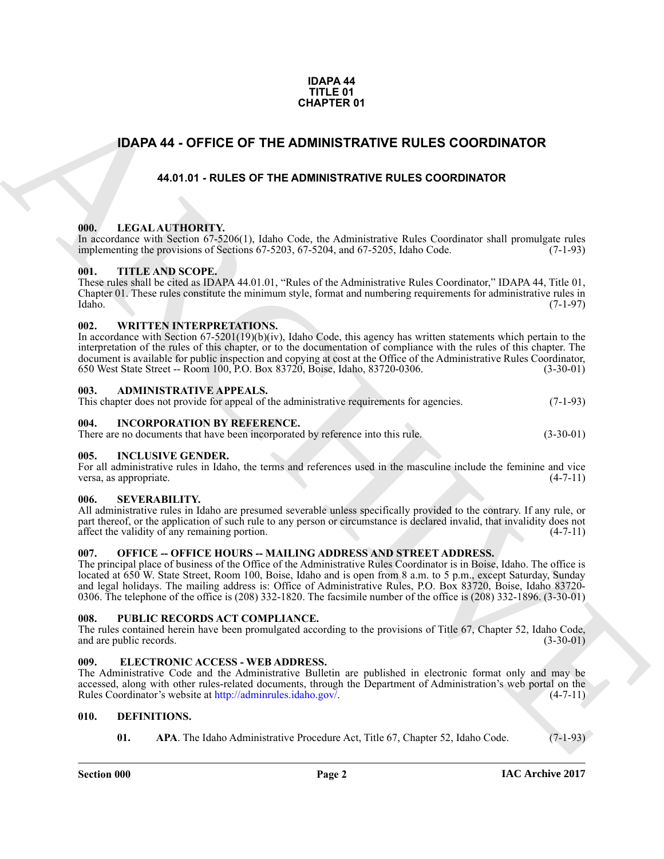#### **IDAPA 44 TITLE 01 CHAPTER 01**

### <span id="page-1-0"></span>**IDAPA 44 - OFFICE OF THE ADMINISTRATIVE RULES COORDINATOR**

#### **44.01.01 - RULES OF THE ADMINISTRATIVE RULES COORDINATOR**

#### <span id="page-1-2"></span><span id="page-1-1"></span>**000. LEGAL AUTHORITY.**

In accordance with Section 67-5206(1), Idaho Code, the Administrative Rules Coordinator shall promulgate rules implementing the provisions of Sections 67-5203, 67-5204, and 67-5205, Idaho Code. (7-1-93) implementing the provisions of Sections 67-5203, 67-5204, and 67-5205, Idaho Code.

#### <span id="page-1-3"></span>**001. TITLE AND SCOPE.**

These rules shall be cited as IDAPA 44.01.01, "Rules of the Administrative Rules Coordinator," IDAPA 44, Title 01, Chapter 01. These rules constitute the minimum style, format and numbering requirements for administrative rules in Idaho. (7-1-97)

#### <span id="page-1-4"></span>**002. WRITTEN INTERPRETATIONS.**

**CHAPTER 01**<br> **IDAPA 44 - OFFICE OF THE ADMINISTRATIVE RULES COORDINATOR**<br>
44.61.61 - RULES OF THE ADMINISTRATIVE RULES COORDINATOR<br>
16. LEGAL AUTIORITY, when the contract the computer RULES COORDINATOR<br>
16. LEGAL AUTIORI In accordance with Section 67-5201(19)(b)(iv), Idaho Code, this agency has written statements which pertain to the interpretation of the rules of this chapter, or to the documentation of compliance with the rules of this chapter. The document is available for public inspection and copying at cost at the Office of the Administrative Rules Coordinator,<br>650 West State Street -- Room 100, P.O. Box 83720, Boise, Idaho, 83720-0306. (3-30-01) 650 West State Street -- Room 100, P.O. Box 83720, Boise, Idaho, 83720-0306.

#### <span id="page-1-5"></span>**003. ADMINISTRATIVE APPEALS.**

|  | This chapter does not provide for appeal of the administrative requirements for agencies. |  | $(7-1-93)$ |
|--|-------------------------------------------------------------------------------------------|--|------------|
|  |                                                                                           |  |            |

#### <span id="page-1-6"></span>**004. INCORPORATION BY REFERENCE.**

|  | There are no documents that have been incorporated by reference into this rule. | $(3-30-01)$ |
|--|---------------------------------------------------------------------------------|-------------|
|--|---------------------------------------------------------------------------------|-------------|

#### <span id="page-1-16"></span><span id="page-1-7"></span>**005. INCLUSIVE GENDER.**

For all administrative rules in Idaho, the terms and references used in the masculine include the feminine and vice versa, as appropriate.  $(4-7-11)$ versa, as appropriate.

#### <span id="page-1-17"></span><span id="page-1-8"></span>**006. SEVERABILITY.**

All administrative rules in Idaho are presumed severable unless specifically provided to the contrary. If any rule, or part thereof, or the application of such rule to any person or circumstance is declared invalid, that invalidity does not affect the validity of any remaining portion. (4-7-11) affect the validity of any remaining portion.

#### <span id="page-1-9"></span>007. OFFICE -- OFFICE HOURS -- MAILING ADDRESS AND STREET ADDRESS.

The principal place of business of the Office of the Administrative Rules Coordinator is in Boise, Idaho. The office is located at 650 W. State Street, Room 100, Boise, Idaho and is open from 8 a.m. to 5 p.m., except Saturday, Sunday and legal holidays. The mailing address is: Office of Administrative Rules, P.O. Box 83720, Boise, Idaho 83720- 0306. The telephone of the office is (208) 332-1820. The facsimile number of the office is (208) 332-1896. (3-30-01)

#### <span id="page-1-10"></span>**008. PUBLIC RECORDS ACT COMPLIANCE.**

The rules contained herein have been promulgated according to the provisions of Title 67, Chapter 52, Idaho Code, and are public records. (3-30-01) (3-30-01)

#### <span id="page-1-15"></span><span id="page-1-11"></span>**009. ELECTRONIC ACCESS - WEB ADDRESS.**

The Administrative Code and the Administrative Bulletin are published in electronic format only and may be accessed, along with other rules-related documents, through the Department of Administration's web portal on the Rules Coordinator's website at http://adminrules.idaho.gov/. (4-7-11) Rules Coordinator's website at http://adminrules.idaho.gov/.

#### <span id="page-1-12"></span>**010. DEFINITIONS.**

<span id="page-1-14"></span><span id="page-1-13"></span>**01.** APA. The Idaho Administrative Procedure Act, Title 67, Chapter 52, Idaho Code. (7-1-93)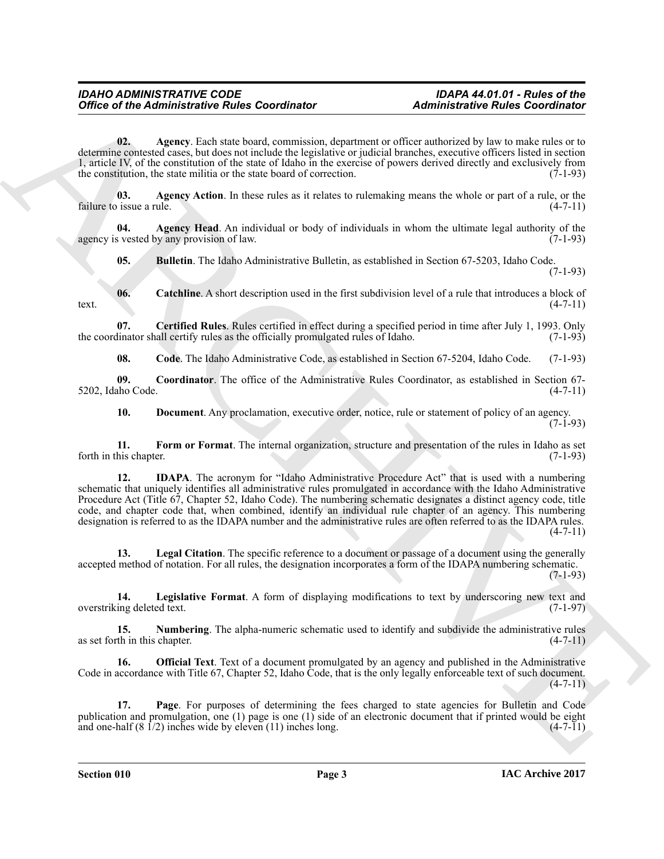<span id="page-2-0"></span>**02. Agency**. Each state board, commission, department or officer authorized by law to make rules or to determine contested cases, but does not include the legislative or judicial branches, executive officers listed in section 1, article IV, of the constitution of the state of Idaho in the exercise of powers derived directly and exclusively from the constitution, the state militia or the state board of correction. (7-1-93)

<span id="page-2-1"></span>**03. Agency Action**. In these rules as it relates to rulemaking means the whole or part of a rule, or the failure to issue a rule. (4-7-11)

**04.** Agency Head. An individual or body of individuals in whom the ultimate legal authority of the s vested by any provision of law. agency is vested by any provision of law.

<span id="page-2-4"></span><span id="page-2-3"></span><span id="page-2-2"></span>**05. Bulletin**. The Idaho Administrative Bulletin, as established in Section 67-5203, Idaho Code.  $(7-1-93)$ 

**06.** Catchline. A short description used in the first subdivision level of a rule that introduces a block of  $(4-7-11)$ text.  $(4-7-11)$ 

**07. Certified Rules**. Rules certified in effect during a specified period in time after July 1, 1993. Only the coordinator shall certify rules as the officially promulgated rules of Idaho.

<span id="page-2-7"></span><span id="page-2-6"></span><span id="page-2-5"></span>**08. Code**. The Idaho Administrative Code, as established in Section 67-5204, Idaho Code. (7-1-93)

**09. Coordinator**. The office of the Administrative Rules Coordinator, as established in Section 67- 5202, Idaho Code. (4-7-11)

<span id="page-2-10"></span><span id="page-2-9"></span><span id="page-2-8"></span>**10. Document**. Any proclamation, executive order, notice, rule or statement of policy of an agency.  $(7-1-93)$ 

**11.** Form or Format. The internal organization, structure and presentation of the rules in Idaho as set his chapter. (7-1-93) forth in this chapter.

Office of the Administrative Fudes Coordinator<br>
0.6. Apply, Sales Coordinator<br>
1. Contains the state base bond of the state of the state of the state of the state of the state of the state of the state of the state of the **12. IDAPA**. The acronym for "Idaho Administrative Procedure Act" that is used with a numbering schematic that uniquely identifies all administrative rules promulgated in accordance with the Idaho Administrative Procedure Act (Title 67, Chapter 52, Idaho Code). The numbering schematic designates a distinct agency code, title code, and chapter code that, when combined, identify an individual rule chapter of an agency. This numbering designation is referred to as the IDAPA number and the administrative rules are often referred to as the IDAPA rules.  $(4 - 7 - 11)$ 

<span id="page-2-11"></span>**13. Legal Citation**. The specific reference to a document or passage of a document using the generally accepted method of notation. For all rules, the designation incorporates a form of the IDAPA numbering schematic. (7-1-93)

<span id="page-2-12"></span>**14.** Legislative Format. A form of displaying modifications to text by underscoring new text and ing deleted text. (7-1-97) overstriking deleted text.

<span id="page-2-13"></span>**15. Numbering**. The alpha-numeric schematic used to identify and subdivide the administrative rules as set forth in this chapter.  $(4-7-11)$ 

<span id="page-2-14"></span>**16. Official Text**. Text of a document promulgated by an agency and published in the Administrative Code in accordance with Title 67, Chapter 52, Idaho Code, that is the only legally enforceable text of such document.  $(4 - 7 - 11)$ 

<span id="page-2-15"></span>**17. Page**. For purposes of determining the fees charged to state agencies for Bulletin and Code publication and promulgation, one (1) page is one (1) side of an electronic document that if printed would be eight and one-half  $(8 \frac{1}{2})$  inches wide by eleven (11) inches long. and one-half  $(8 \t1/2)$  inches wide by eleven  $(11)$  inches long.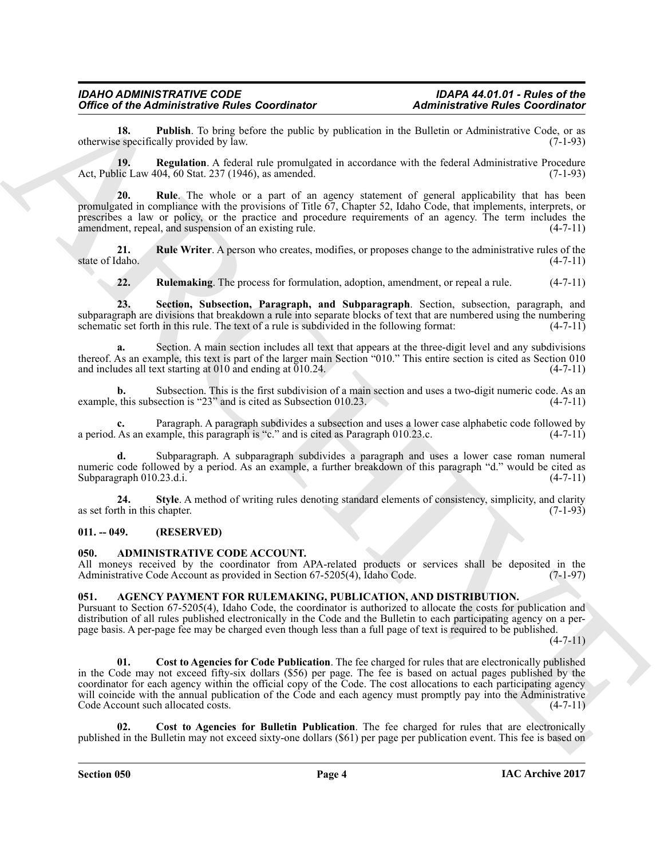<span id="page-3-7"></span>**18. Publish**. To bring before the public by publication in the Bulletin or Administrative Code, or as e specifically provided by law. (7-1-93) otherwise specifically provided by law.

<span id="page-3-8"></span>**19. Regulation**. A federal rule promulgated in accordance with the federal Administrative Procedure lic Law 404, 60 Stat. 237 (1946), as amended. (7-1-93) Act, Public Law 404, 60 Stat. 237 (1946), as amended.

<span id="page-3-9"></span>**20. Rule**. The whole or a part of an agency statement of general applicability that has been promulgated in compliance with the provisions of Title 67, Chapter 52, Idaho Code, that implements, interprets, or prescribes a law or policy, or the practice and procedure requirements of an agency. The term includes the amendment, repeal, and suspension of an existing rule. (4-7-11) amendment, repeal, and suspension of an existing rule.

**21. Rule Writer**. A person who creates, modifies, or proposes change to the administrative rules of the daho. (4-7-11) state of Idaho.

<span id="page-3-12"></span><span id="page-3-11"></span><span id="page-3-10"></span>**22. Rulemaking**. The process for formulation, adoption, amendment, or repeal a rule. (4-7-11)

**23. Section, Subsection, Paragraph, and Subparagraph**. Section, subsection, paragraph, and subparagraph are divisions that breakdown a rule into separate blocks of text that are numbered using the numbering schematic set forth in this rule. The text of a rule is subdivided in the following format: (4-7-11)

**a.** Section. A main section includes all text that appears at the three-digit level and any subdivisions thereof. As an example, this text is part of the larger main Section "010." This entire section is cited as Section 010 and includes all text starting at 010 and ending at 010.24. and includes all text starting at  $010$  and ending at  $010.24$ .

Subsection. This is the first subdivision of a main section and uses a two-digit numeric code. As an section is "23" and is cited as Subsection 010.23. example, this subsection is " $23$ " and is cited as Subsection 010.23.

Paragraph. A paragraph subdivides a subsection and uses a lower case alphabetic code followed by ample, this paragraph is "c." and is cited as Paragraph 010.23, c. (4-7-11) a period. As an example, this paragraph is "c." and is cited as Paragraph 010.23.c.

**d.** Subparagraph. A subparagraph subdivides a paragraph and uses a lower case roman numeral numeric code followed by a period. As an example, a further breakdown of this paragraph "d." would be cited as Subparagraph 010.23.d.i. (4-7-11) Subparagraph 010.23.d.i.

<span id="page-3-13"></span>**24. Style**. A method of writing rules denoting standard elements of consistency, simplicity, and clarity th in this chapter. (7-1-93) as set forth in this chapter.

#### <span id="page-3-0"></span>**011. -- 049. (RESERVED)**

#### <span id="page-3-3"></span><span id="page-3-1"></span>**050. ADMINISTRATIVE CODE ACCOUNT.**

All moneys received by the coordinator from APA-related products or services shall be deposited in the Administrative Code Account as provided in Section 67-5205(4), Idaho Code. (7-1-97) Administrative Code Account as provided in Section 67-5205(4), Idaho Code.

#### <span id="page-3-4"></span><span id="page-3-2"></span>**051. AGENCY PAYMENT FOR RULEMAKING, PUBLICATION, AND DISTRIBUTION.**

<span id="page-3-6"></span>Pursuant to Section 67-5205(4), Idaho Code, the coordinator is authorized to allocate the costs for publication and distribution of all rules published electronically in the Code and the Bulletin to each participating agency on a perpage basis. A per-page fee may be charged even though less than a full page of text is required to be published.

 $(4 - 7 - 11)$ 

Office of the Administrative Public Coordinator<br>
determines the Coordinator<br>
determines for the Coordinator<br>
determines for the coordinator of the coordinator<br>
ARCHIVES IN the state of the coordinator of the coordinator o **01. Cost to Agencies for Code Publication**. The fee charged for rules that are electronically published in the Code may not exceed fifty-six dollars (\$56) per page. The fee is based on actual pages published by the coordinator for each agency within the official copy of the Code. The cost allocations to each participating agency will coincide with the annual publication of the Code and each agency must promptly pay into the Administrative Code Account such allocated costs. (4-7-11) Code Account such allocated costs.

<span id="page-3-5"></span>**02. Cost to Agencies for Bulletin Publication**. The fee charged for rules that are electronically published in the Bulletin may not exceed sixty-one dollars (\$61) per page per publication event. This fee is based on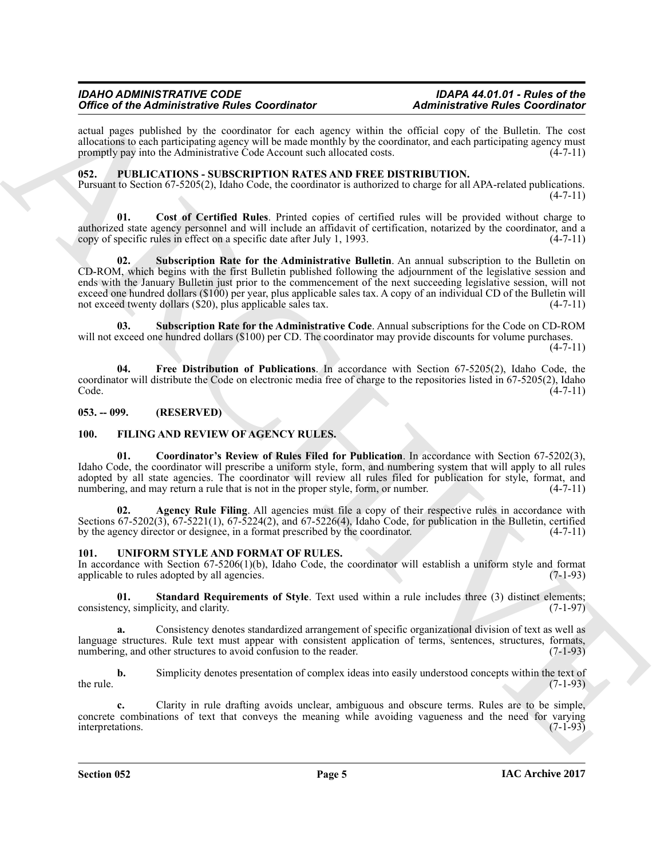actual pages published by the coordinator for each agency within the official copy of the Bulletin. The cost allocations to each participating agency will be made monthly by the coordinator, and each participating agency must<br>promptly pay into the Administrative Code Account such allocated costs. (4-7-11) promptly pay into the Administrative Code Account such allocated costs.

#### <span id="page-4-7"></span><span id="page-4-0"></span>**052. PUBLICATIONS - SUBSCRIPTION RATES AND FREE DISTRIBUTION.**

Pursuant to Section 67-5205(2), Idaho Code, the coordinator is authorized to charge for all APA-related publications.  $(4 - 7 - 11)$ 

<span id="page-4-10"></span><span id="page-4-8"></span>**01. Cost of Certified Rules**. Printed copies of certified rules will be provided without charge to authorized state agency personnel and will include an affidavit of certification, notarized by the coordinator, and a copy of specific rules in effect on a specific date after July 1, 1993.

Office of the Administration Fundamental and spectra particular and ministerior for the Euckletin and the Society of the Society of the Society of the Society of the Society of the Society of the Society of the Society of **02. Subscription Rate for the Administrative Bulletin**. An annual subscription to the Bulletin on CD-ROM, which begins with the first Bulletin published following the adjournment of the legislative session and ends with the January Bulletin just prior to the commencement of the next succeeding legislative session, will not exceed one hundred dollars (\$100) per year, plus applicable sales tax. A copy of an individual CD of the Bulletin will not exceed twenty dollars (\$20), plus applicable sales tax.  $(4-7-11)$ not exceed twenty dollars  $(\$20)$ , plus applicable sales tax.

<span id="page-4-11"></span>**03. Subscription Rate for the Administrative Code**. Annual subscriptions for the Code on CD-ROM will not exceed one hundred dollars (\$100) per CD. The coordinator may provide discounts for volume purchases.

 $(4 - 7 - 11)$ 

<span id="page-4-9"></span>**04. Free Distribution of Publications**. In accordance with Section 67-5205(2), Idaho Code, the coordinator will distribute the Code on electronic media free of charge to the repositories listed in 67-5205(2), Idaho  $\text{Code.}$  (4-7-11)

<span id="page-4-1"></span>**053. -- 099. (RESERVED)**

#### <span id="page-4-6"></span><span id="page-4-4"></span><span id="page-4-2"></span>**100. FILING AND REVIEW OF AGENCY RULES.**

**01. Coordinator's Review of Rules Filed for Publication**. In accordance with Section 67-5202(3), Idaho Code, the coordinator will prescribe a uniform style, form, and numbering system that will apply to all rules adopted by all state agencies. The coordinator will review all rules filed for publication for style, format, and numbering, and may return a rule that is not in the proper style, form, or number. (4-7-11)

<span id="page-4-5"></span>**02. Agency Rule Filing**. All agencies must file a copy of their respective rules in accordance with Sections 67-5202(3), 67-5221(1), 67-5224(2), and 67-5226(4), Idaho Code, for publication in the Bulletin, certified by the agency director or designee, in a format prescribed by the coordinator. (4-7-11)

#### <span id="page-4-12"></span><span id="page-4-3"></span>**101. UNIFORM STYLE AND FORMAT OF RULES.**

In accordance with Section 67-5206(1)(b), Idaho Code, the coordinator will establish a uniform style and format applicable to rules adopted by all agencies.  $(7-1-93)$ applicable to rules adopted by all agencies.

<span id="page-4-13"></span>**01. Standard Requirements of Style**. Text used within a rule includes three (3) distinct elements;  $\frac{1}{7}$  (7-1-97) consistency, simplicity, and clarity.

**a.** Consistency denotes standardized arrangement of specific organizational division of text as well as language structures. Rule text must appear with consistent application of terms, sentences, structures, formats, numbering, and other structures to avoid confusion to the reader. (7-1-93) numbering, and other structures to avoid confusion to the reader.

**b.** Simplicity denotes presentation of complex ideas into easily understood concepts within the text of the rule.  $(7-1-93)$ 

**c.** Clarity in rule drafting avoids unclear, ambiguous and obscure terms. Rules are to be simple, concrete combinations of text that conveys the meaning while avoiding vagueness and the need for varying interpretations. (7-1-93) interpretations.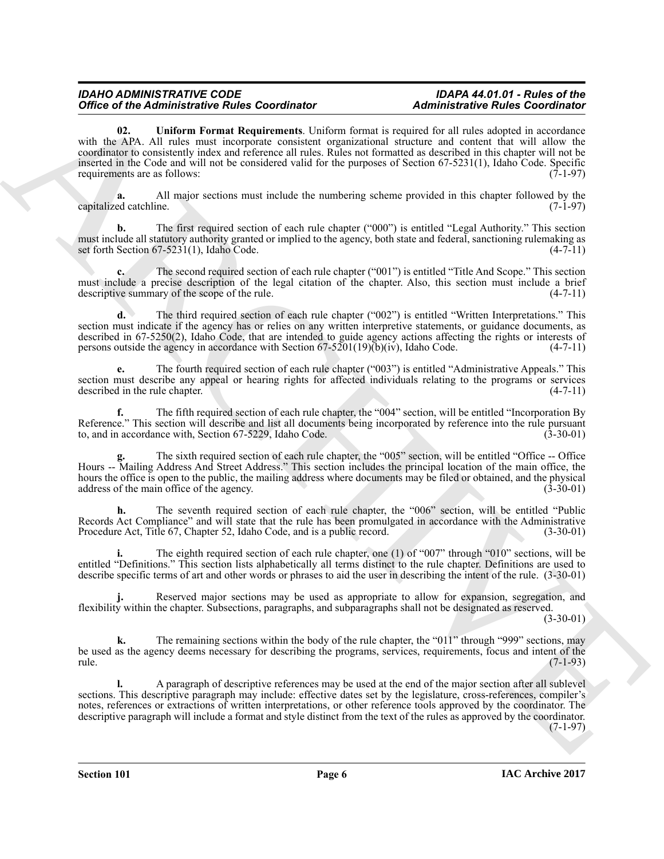Office of He Administration Fundamental scale continue and Administration Fundamental scale Continue and the Continue and the Continue and the Continue and the Continue and Continue and Continue and Continue and Continue **02. Uniform Format Requirements**. Uniform format is required for all rules adopted in accordance with the APA. All rules must incorporate consistent organizational structure and content that will allow the coordinator to consistently index and reference all rules. Rules not formatted as described in this chapter will not be inserted in the Code and will not be considered valid for the purposes of Section 67-5231(1), Idaho Code. Specific requirements are as follows: (7-1-97)

<span id="page-5-0"></span>**a.** All major sections must include the numbering scheme provided in this chapter followed by the ed catchline. (7-1-97) capitalized catchline.

**b.** The first required section of each rule chapter ("000") is entitled "Legal Authority." This section must include all statutory authority granted or implied to the agency, both state and federal, sanctioning rulemaking as set forth Section 67-5231(1), Idaho Code. (4-7-11) set forth Section  $67-5231(1)$ , Idaho Code.

The second required section of each rule chapter ("001") is entitled "Title And Scope." This section must include a precise description of the legal citation of the chapter. Also, this section must include a brief descriptive summary of the scope of the rule. (4-7-11)

**d.** The third required section of each rule chapter ("002") is entitled "Written Interpretations." This section must indicate if the agency has or relies on any written interpretive statements, or guidance documents, as described in 67-5250(2), Idaho Code, that are intended to guide agency actions affecting the rights or interests of persons outside the agency in accordance with Section 67-5201(19)(b)(iv), Idaho Code.  $(4-7-11)$ persons outside the agency in accordance with Section  $67-5201(19)(b)(iv)$ , Idaho Code.

**e.** The fourth required section of each rule chapter ("003") is entitled "Administrative Appeals." This section must describe any appeal or hearing rights for affected individuals relating to the programs or services described in the rule chapter. (4-7-11)

**f.** The fifth required section of each rule chapter, the "004" section, will be entitled "Incorporation By Reference." This section will describe and list all documents being incorporated by reference into the rule pursuant to, and in accordance with, Section 67-5229, Idaho Code. (3-30-01) to, and in accordance with, Section 67-5229, Idaho Code.

The sixth required section of each rule chapter, the "005" section, will be entitled "Office -- Office Hours -- Mailing Address And Street Address." This section includes the principal location of the main office, the hours the office is open to the public, the mailing address where documents may be filed or obtained, and the physical address of the main office of the agency. (3-30-01)

**h.** The seventh required section of each rule chapter, the "006" section, will be entitled "Public Records Act Compliance" and will state that the rule has been promulgated in accordance with the Administrative Procedure Act, Title 67, Chapter 52, Idaho Code, and is a public record. (3-30-01) Procedure Act, Title 67, Chapter 52, Idaho Code, and is a public record.

The eighth required section of each rule chapter, one (1) of "007" through "010" sections, will be entitled "Definitions." This section lists alphabetically all terms distinct to the rule chapter. Definitions are used to describe specific terms of art and other words or phrases to aid the user in describing the intent of the rule. (3-30-01)

**j.** Reserved major sections may be used as appropriate to allow for expansion, segregation, and flexibility within the chapter. Subsections, paragraphs, and subparagraphs shall not be designated as reserved.

(3-30-01)

The remaining sections within the body of the rule chapter, the "011" through "999" sections, may be used as the agency deems necessary for describing the programs, services, requirements, focus and intent of the rule. (7-1-93) rule. (7-1-93)

**l.** A paragraph of descriptive references may be used at the end of the major section after all sublevel sections. This descriptive paragraph may include: effective dates set by the legislature, cross-references, compiler's notes, references or extractions of written interpretations, or other reference tools approved by the coordinator. The descriptive paragraph will include a format and style distinct from the text of the rules as approved by the coordinator.  $(7-1-97)$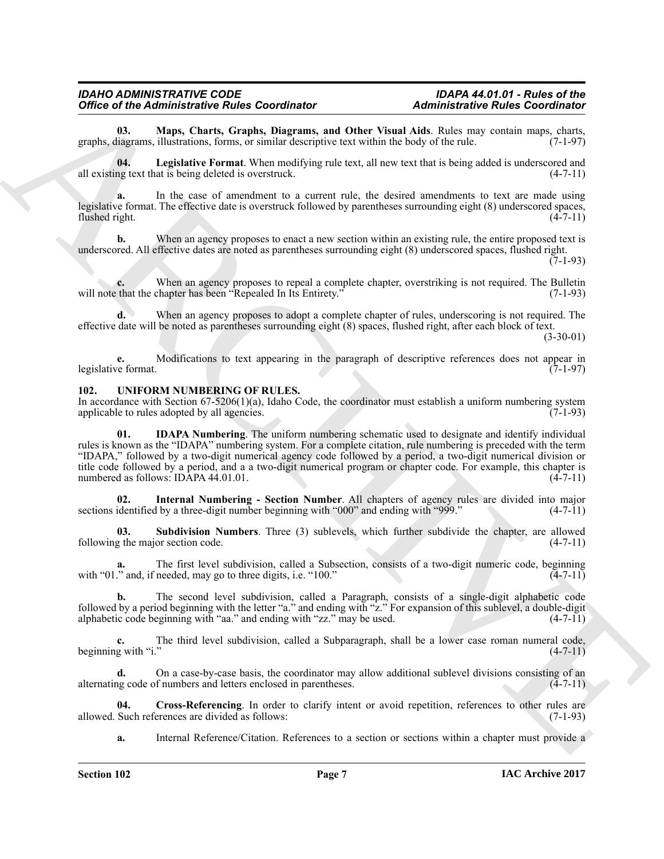<span id="page-6-7"></span>**03. Maps, Charts, Graphs, Diagrams, and Other Visual Aids**. Rules may contain maps, charts, graphs, diagrams, illustrations, forms, or similar descriptive text within the body of the rule.

<span id="page-6-6"></span>**04. Legislative Format**. When modifying rule text, all new text that is being added is underscored and all existing text that is being deleted is overstruck. (4-7-11)

**a.** In the case of amendment to a current rule, the desired amendments to text are made using legislative format. The effective date is overstruck followed by parentheses surrounding eight (8) underscored spaces, flushed right. (4-7-11)

**b.** When an agency proposes to enact a new section within an existing rule, the entire proposed text is underscored. All effective dates are noted as parentheses surrounding eight (8) underscored spaces, flushed right.

 $(7-1-93)$ 

When an agency proposes to repeal a complete chapter, overstriking is not required. The Bulletin will note that the chapter has been "Repealed In Its Entirety." (7-1-93)

**d.** When an agency proposes to adopt a complete chapter of rules, underscoring is not required. The effective date will be noted as parentheses surrounding eight (8) spaces, flushed right, after each block of text. (3-30-01)

**e.** Modifications to text appearing in the paragraph of descriptive references does not appear in (7-1-97) legislative format.

#### <span id="page-6-1"></span><span id="page-6-0"></span>**102. UNIFORM NUMBERING OF RULES.**

<span id="page-6-3"></span>In accordance with Section  $67-5206(1)(a)$ , Idaho Code, the coordinator must establish a uniform numbering system applicable to rules adopted by all agencies. applicable to rules adopted by all agencies.

Office of the Administration Fundamental Consultation (Administration Consultation School and the state of the state of the state of the state of the state of the state of the state of the state of the state of the state **01. IDAPA Numbering**. The uniform numbering schematic used to designate and identify individual rules is known as the "IDAPA" numbering system. For a complete citation, rule numbering is preceded with the term "IDAPA," followed by a two-digit numerical agency code followed by a period, a two-digit numerical division or title code followed by a period, and a a two-digit numerical program or chapter code. For example, this chapter is numbered as follows: IDAPA 44.01.01. (4-7-11) (4-7-11)

<span id="page-6-4"></span>**02.** Internal Numbering - Section Number. All chapters of agency rules are divided into major identified by a three-digit number beginning with "000" and ending with "999." (4-7-11) sections identified by a three-digit number beginning with "000" and ending with "999."

<span id="page-6-5"></span>**03. Subdivision Numbers**. Three (3) sublevels, which further subdivide the chapter, are allowed g the major section code. (4-7-11) following the major section code.

The first level subdivision, called a Subsection, consists of a two-digit numeric code, beginning needed, may go to three digits, i.e. "100." (4-7-11) with "01." and, if needed, may go to three digits, i.e. "100."

**b.** The second level subdivision, called a Paragraph, consists of a single-digit alphabetic code followed by a period beginning with the letter "a." and ending with " $\hat{z}$ ." For expansion of this sublevel, a double-digit alphabetic code beginning with "aa." and ending with "zz." may be used.  $(4-7-11)$ alphabetic code beginning with "aa." and ending with "zz." may be used.

**c.** The third level subdivision, called a Subparagraph, shall be a lower case roman numeral code, g with "i." (4-7-11) beginning with "i."

**d.** On a case-by-case basis, the coordinator may allow additional sublevel divisions consisting of an alternating code of numbers and letters enclosed in parentheses. (4-7-11)

**04.** Cross-Referencing. In order to clarify intent or avoid repetition, references to other rules are Such references are divided as follows: (7-1-93) allowed. Such references are divided as follows:

<span id="page-6-2"></span>**a.** Internal Reference/Citation. References to a section or sections within a chapter must provide a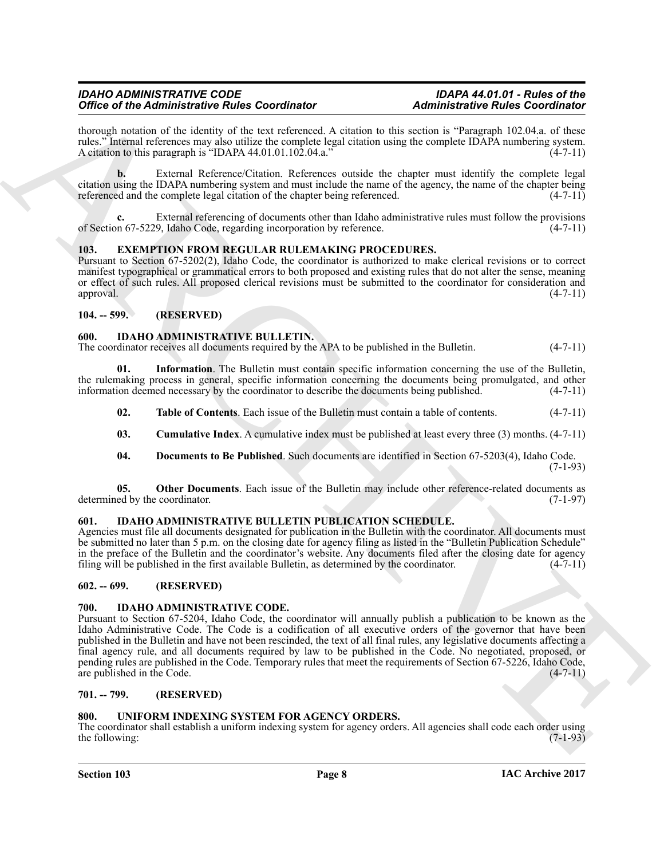thorough notation of the identity of the text referenced. A citation to this section is "Paragraph 102.04.a. of these rules." Internal references may also utilize the complete legal citation using the complete IDAPA numbering system.<br>A citation to this paragraph is "IDAPA 44.01.01.102.04.a." (4-7-11) A citation to this paragraph is "IDAPA  $44.01.01.102.04.a."$ 

**b.** External Reference/Citation. References outside the chapter must identify the complete legal citation using the IDAPA numbering system and must include the name of the agency, the name of the chapter being referenced and the complete legal citation of the chapter being referenced.

**c.** External referencing of documents other than Idaho administrative rules must follow the provisions of Section 67-5229, Idaho Code, regarding incorporation by reference. (4-7-11)

#### <span id="page-7-9"></span><span id="page-7-0"></span>**103. EXEMPTION FROM REGULAR RULEMAKING PROCEDURES.**

Pursuant to Section 67-5202(2), Idaho Code, the coordinator is authorized to make clerical revisions or to correct manifest typographical or grammatical errors to both proposed and existing rules that do not alter the sense, meaning or effect of such rules. All proposed clerical revisions must be submitted to the coordinator for consideration and approval. (4-7-11)

#### <span id="page-7-1"></span>**104. -- 599. (RESERVED)**

#### <span id="page-7-10"></span><span id="page-7-2"></span>**600. IDAHO ADMINISTRATIVE BULLETIN.**

The coordinator receives all documents required by the APA to be published in the Bulletin. (4-7-11)

**01. Information**. The Bulletin must contain specific information concerning the use of the Bulletin, the rulemaking process in general, specific information concerning the documents being promulgated, and other information deemed necessary by the coordinator to describe the documents being published. (4-7-11)

<span id="page-7-14"></span><span id="page-7-12"></span>**02. Table of Contents**. Each issue of the Bulletin must contain a table of contents. (4-7-11)

<span id="page-7-8"></span>**03. Cumulative Index**. A cumulative index must be published at least every three (3) months. (4-7-11)

<span id="page-7-13"></span><span id="page-7-11"></span>**04. Documents to Be Published**. Such documents are identified in Section 67-5203(4), Idaho Code.  $(7-1-93)$ 

**05.** Other Documents. Each issue of the Bulletin may include other reference-related documents as ed by the coordinator. (7-1-97) determined by the coordinator.

#### <span id="page-7-15"></span><span id="page-7-3"></span>**601. IDAHO ADMINISTRATIVE BULLETIN PUBLICATION SCHEDULE.**

Agencies must file all documents designated for publication in the Bulletin with the coordinator. All documents must be submitted no later than 5 p.m. on the closing date for agency filing as listed in the "Bulletin Publication Schedule" in the preface of the Bulletin and the coordinator's website. Any documents filed after the closing date for agency filing will be published in the first available Bulletin, as determined by the coordinator. (4-7-11) filing will be published in the first available Bulletin, as determined by the coordinator.

#### <span id="page-7-4"></span>**602. -- 699. (RESERVED)**

#### <span id="page-7-16"></span><span id="page-7-5"></span>**700. IDAHO ADMINISTRATIVE CODE.**

Office of the Administration Fundamental Research and the state of the control of the state of the state of the state of the state of the state of the state of the state of the state of the state of the state of the state Pursuant to Section 67-5204, Idaho Code, the coordinator will annually publish a publication to be known as the Idaho Administrative Code. The Code is a codification of all executive orders of the governor that have been published in the Bulletin and have not been rescinded, the text of all final rules, any legislative documents affecting a final agency rule, and all documents required by law to be published in the Code. No negotiated, proposed, or pending rules are published in the Code. Temporary rules that meet the requirements of Section 67-5226, Idaho Code, are published in the Code. are published in the Code.

#### <span id="page-7-6"></span>**701. -- 799. (RESERVED)**

#### <span id="page-7-17"></span><span id="page-7-7"></span>**800. UNIFORM INDEXING SYSTEM FOR AGENCY ORDERS.**

The coordinator shall establish a uniform indexing system for agency orders. All agencies shall code each order using the following: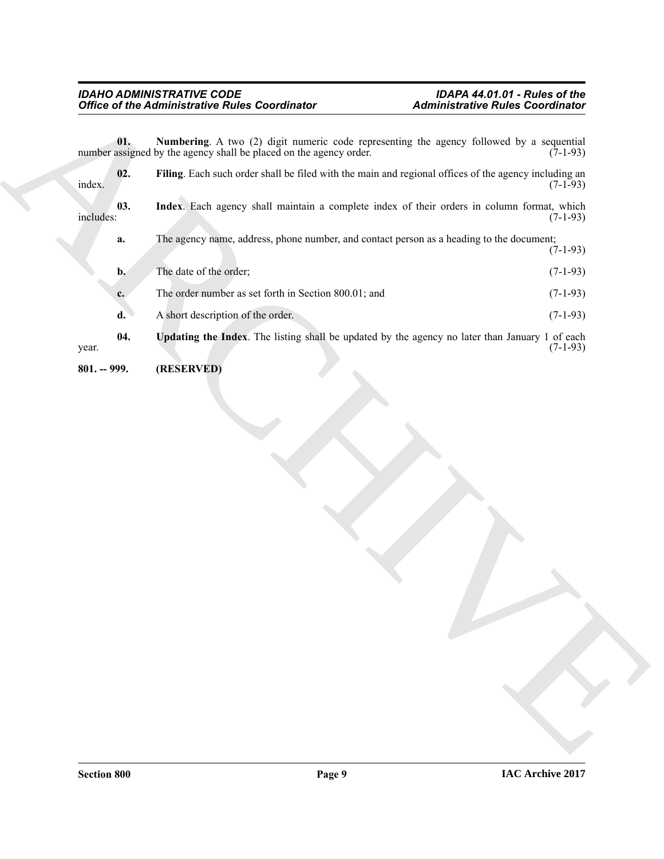<span id="page-8-4"></span><span id="page-8-3"></span><span id="page-8-2"></span><span id="page-8-1"></span><span id="page-8-0"></span>

|                  | <b>Office of the Administrative Rules Coordinator</b>                                                                                                          | <b>Administrative Rules Coordinator</b> |
|------------------|----------------------------------------------------------------------------------------------------------------------------------------------------------------|-----------------------------------------|
| 01.              | Numbering. A two (2) digit numeric code representing the agency followed by a sequential<br>number assigned by the agency shall be placed on the agency order. | $(7-1-93)$                              |
| 02.<br>index.    | Filing. Each such order shall be filed with the main and regional offices of the agency including an                                                           | $(7-1-93)$                              |
| 03.<br>includes: | Index. Each agency shall maintain a complete index of their orders in column format, which                                                                     | $(7-1-93)$                              |
| a.               | The agency name, address, phone number, and contact person as a heading to the document;                                                                       | $(7-1-93)$                              |
| b.               | The date of the order;                                                                                                                                         | $(7-1-93)$                              |
| $c_{\cdot}$      | The order number as set forth in Section 800.01; and                                                                                                           | $(7-1-93)$                              |
| d.               | A short description of the order.                                                                                                                              | $(7-1-93)$                              |
| 04.<br>year.     | Updating the Index. The listing shall be updated by the agency no later than January 1 of each                                                                 | $(7-1-93)$                              |
|                  |                                                                                                                                                                |                                         |
|                  |                                                                                                                                                                |                                         |